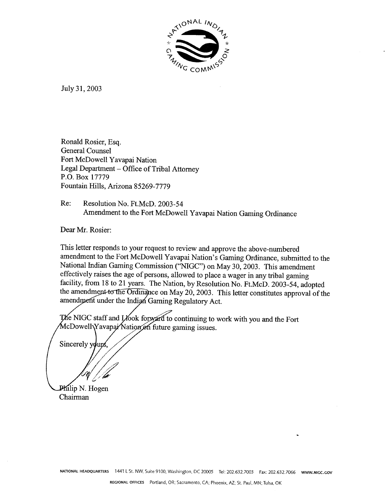

July 31, 2003

Ronald Rosier, Esq. General Counsel Fort McDowell Yavapai Nation Legal Department - Office of Tribal Attorney P.O. Box 17779 Fountain Hills, Arizona 85269-7779

Re: Resolution No. Ft.McD. 2003-54 Amendment to the Fort McDowell Yavapai Nation Gaming Ordinance

Dear Mr. Rosier:

This letter responds to your request to review and approve the above-numbered amendment to the Fort McDowell Yavapai Nation's Gaming Ordinance, submitted to the National Indian Gaming Commission ("NIGC") on May 30,2003. This amendment effectively raises the age of persons, allowed to place **a** wager in **any** tribal gaming facility, from 18 to 21 years. The Nation, by Resolution No. Ft.McD. 2003-54, adopted the amendment to the Ordinance on May 20, 2003. This letter constitutes approval of the amendment under the Indian Gaming Regulatory Act.

The NIGC staff and Llook forward to continuing to work with you and the Fort McDowell Yavapar Nation on future gaming issues.

Sincerely yours

Philip N. Hogen Chairman